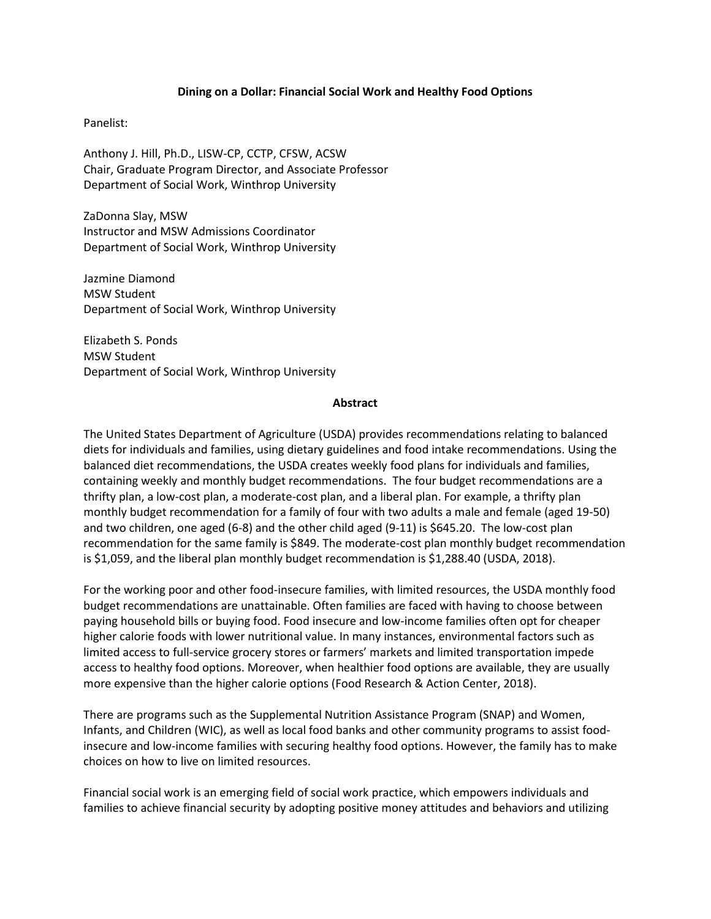## **Dining on a Dollar: Financial Social Work and Healthy Food Options**

## Panelist:

Anthony J. Hill, Ph.D., LISW-CP, CCTP, CFSW, ACSW Chair, Graduate Program Director, and Associate Professor Department of Social Work, Winthrop University

ZaDonna Slay, MSW Instructor and MSW Admissions Coordinator Department of Social Work, Winthrop University

Jazmine Diamond MSW Student Department of Social Work, Winthrop University

Elizabeth S. Ponds MSW Student Department of Social Work, Winthrop University

## **Abstract**

The United States Department of Agriculture (USDA) provides recommendations relating to balanced diets for individuals and families, using dietary guidelines and food intake recommendations. Using the balanced diet recommendations, the USDA creates weekly food plans for individuals and families, containing weekly and monthly budget recommendations. The four budget recommendations are a thrifty plan, a low-cost plan, a moderate-cost plan, and a liberal plan. For example, a thrifty plan monthly budget recommendation for a family of four with two adults a male and female (aged 19-50) and two children, one aged (6-8) and the other child aged (9-11) is \$645.20. The low-cost plan recommendation for the same family is \$849. The moderate-cost plan monthly budget recommendation is \$1,059, and the liberal plan monthly budget recommendation is \$1,288.40 (USDA, 2018).

For the working poor and other food-insecure families, with limited resources, the USDA monthly food budget recommendations are unattainable. Often families are faced with having to choose between paying household bills or buying food. Food insecure and low-income families often opt for cheaper higher calorie foods with lower nutritional value. In many instances, environmental factors such as limited access to full-service grocery stores or farmers' markets and limited transportation impede access to healthy food options. Moreover, when healthier food options are available, they are usually more expensive than the higher calorie options (Food Research & Action Center, 2018).

There are programs such as the Supplemental Nutrition Assistance Program (SNAP) and Women, Infants, and Children (WIC), as well as local food banks and other community programs to assist foodinsecure and low-income families with securing healthy food options. However, the family has to make choices on how to live on limited resources.

Financial social work is an emerging field of social work practice, which empowers individuals and families to achieve financial security by adopting positive money attitudes and behaviors and utilizing